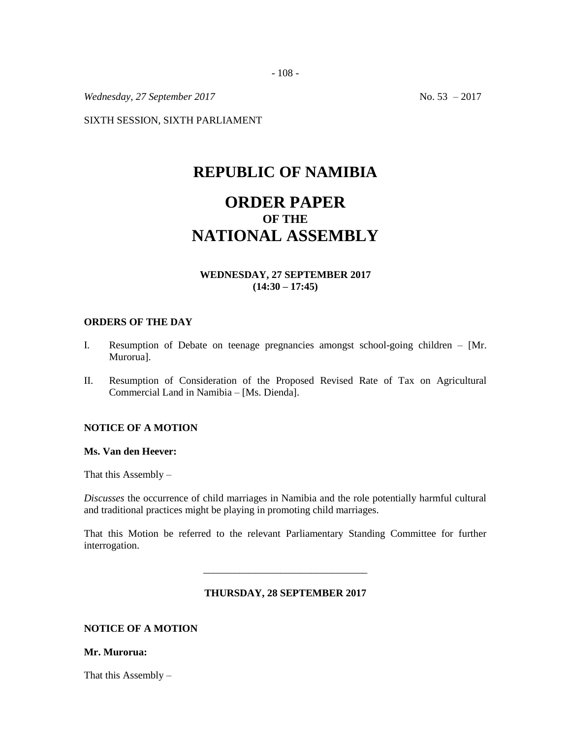*Wednesday, 27 September 2017* No. 53 – 2017

SIXTH SESSION, SIXTH PARLIAMENT

# **REPUBLIC OF NAMIBIA**

# **ORDER PAPER OF THE NATIONAL ASSEMBLY**

# **WEDNESDAY, 27 SEPTEMBER 2017 (14:30 – 17:45)**

### **ORDERS OF THE DAY**

- I. Resumption of Debate on teenage pregnancies amongst school-going children [Mr. Murorua].
- II. Resumption of Consideration of the Proposed Revised Rate of Tax on Agricultural Commercial Land in Namibia – [Ms. Dienda].

### **NOTICE OF A MOTION**

#### **Ms. Van den Heever:**

That this Assembly  $-$ 

*Discusses* the occurrence of child marriages in Namibia and the role potentially harmful cultural and traditional practices might be playing in promoting child marriages.

That this Motion be referred to the relevant Parliamentary Standing Committee for further interrogation.

#### **THURSDAY, 28 SEPTEMBER 2017**

\_\_\_\_\_\_\_\_\_\_\_\_\_\_\_\_\_\_\_\_\_\_\_\_\_\_\_\_\_\_\_\_

# **NOTICE OF A MOTION**

#### **Mr. Murorua:**

That this Assembly –